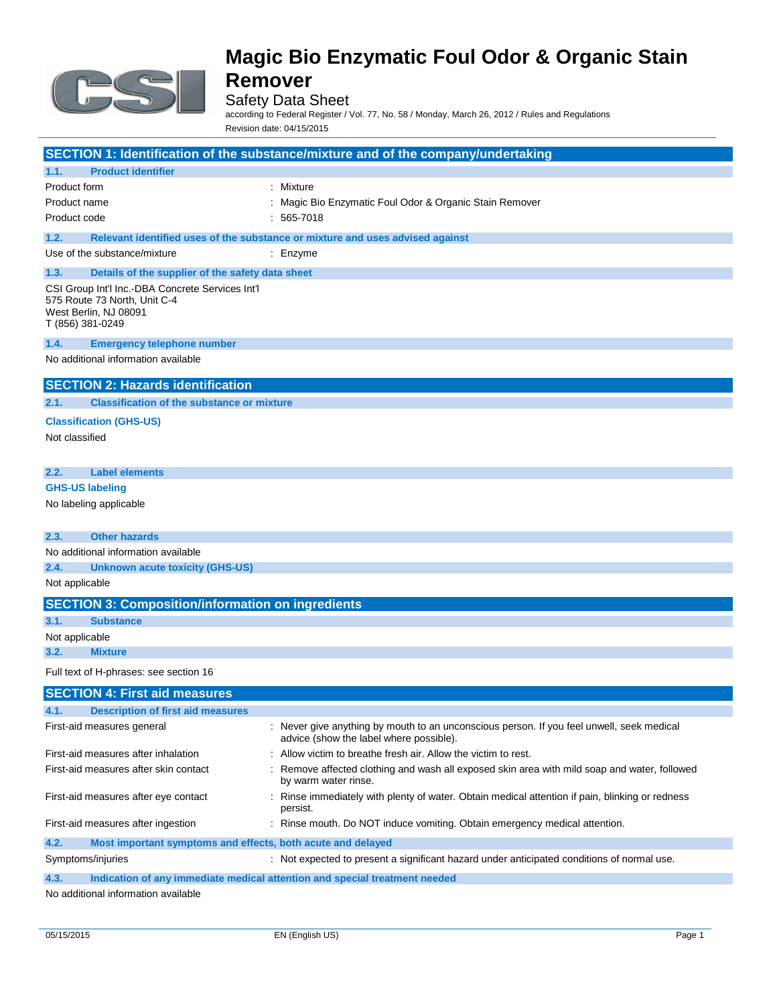

### Safety Data Sheet

according to Federal Register / Vol. 77, No. 58 / Monday, March 26, 2012 / Rules and Regulations Revision date: 04/15/2015

| SECTION 1: Identification of the substance/mixture and of the company/undertaking                                             |                                                                                                                                      |  |
|-------------------------------------------------------------------------------------------------------------------------------|--------------------------------------------------------------------------------------------------------------------------------------|--|
| <b>Product identifier</b><br>1.1.                                                                                             |                                                                                                                                      |  |
| Product form                                                                                                                  | : Mixture                                                                                                                            |  |
| Product name                                                                                                                  | Magic Bio Enzymatic Foul Odor & Organic Stain Remover                                                                                |  |
| Product code                                                                                                                  | $: 565 - 7018$                                                                                                                       |  |
| 1.2.                                                                                                                          | Relevant identified uses of the substance or mixture and uses advised against                                                        |  |
| Use of the substance/mixture                                                                                                  | : Enzyme                                                                                                                             |  |
| 1.3.<br>Details of the supplier of the safety data sheet                                                                      |                                                                                                                                      |  |
| CSI Group Int'l Inc.-DBA Concrete Services Int'l<br>575 Route 73 North, Unit C-4<br>West Berlin, NJ 08091<br>T (856) 381-0249 |                                                                                                                                      |  |
| 1.4.<br><b>Emergency telephone number</b>                                                                                     |                                                                                                                                      |  |
| No additional information available                                                                                           |                                                                                                                                      |  |
| <b>SECTION 2: Hazards identification</b>                                                                                      |                                                                                                                                      |  |
| <b>Classification of the substance or mixture</b><br>2.1.                                                                     |                                                                                                                                      |  |
| <b>Classification (GHS-US)</b>                                                                                                |                                                                                                                                      |  |
| Not classified                                                                                                                |                                                                                                                                      |  |
|                                                                                                                               |                                                                                                                                      |  |
| 2.2.<br><b>Label elements</b>                                                                                                 |                                                                                                                                      |  |
| <b>GHS-US labeling</b>                                                                                                        |                                                                                                                                      |  |
| No labeling applicable                                                                                                        |                                                                                                                                      |  |
| <b>Other hazards</b><br>2.3.                                                                                                  |                                                                                                                                      |  |
| No additional information available                                                                                           |                                                                                                                                      |  |
| 2.4.<br><b>Unknown acute toxicity (GHS-US)</b>                                                                                |                                                                                                                                      |  |
| Not applicable                                                                                                                |                                                                                                                                      |  |
| <b>SECTION 3: Composition/information on ingredients</b>                                                                      |                                                                                                                                      |  |
| <b>Substance</b><br>3.1.                                                                                                      |                                                                                                                                      |  |
| Not applicable                                                                                                                |                                                                                                                                      |  |
| 3.2.<br><b>Mixture</b>                                                                                                        |                                                                                                                                      |  |
| Full text of H-phrases: see section 16                                                                                        |                                                                                                                                      |  |
| <b>SECTION 4: First aid measures</b>                                                                                          |                                                                                                                                      |  |
| <b>Description of first aid measures</b><br>4.1.                                                                              |                                                                                                                                      |  |
| First-aid measures general                                                                                                    | : Never give anything by mouth to an unconscious person. If you feel unwell, seek medical<br>advice (show the label where possible). |  |
| First-aid measures after inhalation                                                                                           | Allow victim to breathe fresh air. Allow the victim to rest.                                                                         |  |
| First-aid measures after skin contact                                                                                         | Remove affected clothing and wash all exposed skin area with mild soap and water, followed<br>by warm water rinse.                   |  |
| First-aid measures after eye contact                                                                                          | Rinse immediately with plenty of water. Obtain medical attention if pain, blinking or redness<br>persist.                            |  |
| First-aid measures after ingestion                                                                                            | : Rinse mouth. Do NOT induce vomiting. Obtain emergency medical attention.                                                           |  |
| 4.2.<br>Most important symptoms and effects, both acute and delayed                                                           |                                                                                                                                      |  |
| Symptoms/injuries                                                                                                             | : Not expected to present a significant hazard under anticipated conditions of normal use.                                           |  |
| 4.3.<br>Indication of any immediate medical attention and special treatment needed                                            |                                                                                                                                      |  |
| No additional information available                                                                                           |                                                                                                                                      |  |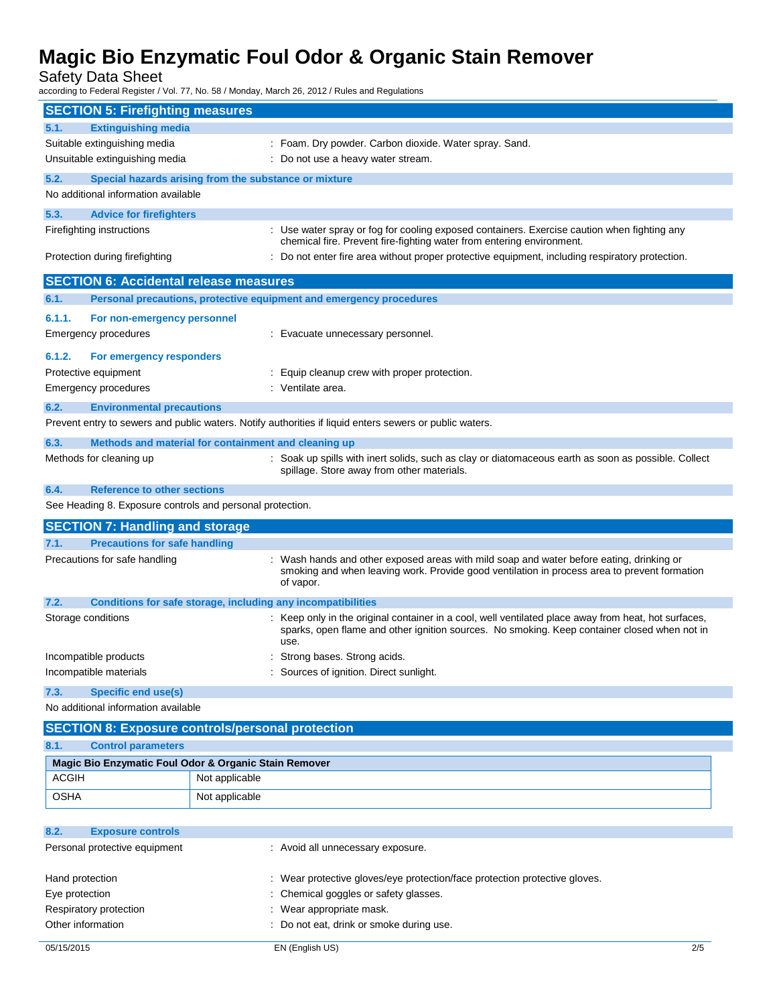Safety Data Sheet

according to Federal Register / Vol. 77, No. 58 / Monday, March 26, 2012 / Rules and Regulations

| <b>SECTION 5: Firefighting measures</b>                              |                |                                                                                                                                                                                                              |
|----------------------------------------------------------------------|----------------|--------------------------------------------------------------------------------------------------------------------------------------------------------------------------------------------------------------|
| <b>Extinguishing media</b><br>5.1.                                   |                |                                                                                                                                                                                                              |
| Suitable extinguishing media                                         |                | : Foam. Dry powder. Carbon dioxide. Water spray. Sand.                                                                                                                                                       |
| Unsuitable extinguishing media                                       |                | : Do not use a heavy water stream.                                                                                                                                                                           |
| 5.2.<br>Special hazards arising from the substance or mixture        |                |                                                                                                                                                                                                              |
| No additional information available                                  |                |                                                                                                                                                                                                              |
| 5.3.<br><b>Advice for firefighters</b>                               |                |                                                                                                                                                                                                              |
| Firefighting instructions                                            |                | : Use water spray or fog for cooling exposed containers. Exercise caution when fighting any                                                                                                                  |
| Protection during firefighting                                       |                | chemical fire. Prevent fire-fighting water from entering environment.<br>: Do not enter fire area without proper protective equipment, including respiratory protection.                                     |
| <b>SECTION 6: Accidental release measures</b>                        |                |                                                                                                                                                                                                              |
| 6.1.                                                                 |                | Personal precautions, protective equipment and emergency procedures                                                                                                                                          |
| 6.1.1.<br>For non-emergency personnel                                |                |                                                                                                                                                                                                              |
| Emergency procedures                                                 |                | : Evacuate unnecessary personnel.                                                                                                                                                                            |
|                                                                      |                |                                                                                                                                                                                                              |
| 6.1.2.<br>For emergency responders                                   |                |                                                                                                                                                                                                              |
| Protective equipment<br><b>Emergency procedures</b>                  |                | : Equip cleanup crew with proper protection.<br>: Ventilate area.                                                                                                                                            |
|                                                                      |                |                                                                                                                                                                                                              |
| 6.2.<br><b>Environmental precautions</b>                             |                |                                                                                                                                                                                                              |
|                                                                      |                | Prevent entry to sewers and public waters. Notify authorities if liquid enters sewers or public waters.                                                                                                      |
| 6.3.<br>Methods and material for containment and cleaning up         |                |                                                                                                                                                                                                              |
| Methods for cleaning up                                              |                | : Soak up spills with inert solids, such as clay or diatomaceous earth as soon as possible. Collect<br>spillage. Store away from other materials.                                                            |
| <b>Reference to other sections</b><br>6.4.                           |                |                                                                                                                                                                                                              |
| See Heading 8. Exposure controls and personal protection.            |                |                                                                                                                                                                                                              |
| <b>SECTION 7: Handling and storage</b>                               |                |                                                                                                                                                                                                              |
| <b>Precautions for safe handling</b><br>7.1.                         |                |                                                                                                                                                                                                              |
| Precautions for safe handling                                        |                | : Wash hands and other exposed areas with mild soap and water before eating, drinking or<br>smoking and when leaving work. Provide good ventilation in process area to prevent formation<br>of vapor.        |
| 7.2.<br>Conditions for safe storage, including any incompatibilities |                |                                                                                                                                                                                                              |
| Storage conditions                                                   |                | : Keep only in the original container in a cool, well ventilated place away from heat, hot surfaces,<br>sparks, open flame and other ignition sources. No smoking. Keep container closed when not in<br>use. |
| Incompatible products                                                |                | Strong bases. Strong acids.                                                                                                                                                                                  |
| Incompatible materials                                               |                | Sources of ignition. Direct sunlight.                                                                                                                                                                        |
| 7.3.<br><b>Specific end use(s)</b>                                   |                |                                                                                                                                                                                                              |
| No additional information available                                  |                |                                                                                                                                                                                                              |
| <b>SECTION 8: Exposure controls/personal protection</b>              |                |                                                                                                                                                                                                              |
| <b>Control parameters</b><br>8.1.                                    |                |                                                                                                                                                                                                              |
| Magic Bio Enzymatic Foul Odor & Organic Stain Remover                |                |                                                                                                                                                                                                              |
| <b>ACGIH</b>                                                         | Not applicable |                                                                                                                                                                                                              |
| <b>OSHA</b>                                                          | Not applicable |                                                                                                                                                                                                              |
|                                                                      |                |                                                                                                                                                                                                              |
| 8.2.<br><b>Exposure controls</b>                                     |                |                                                                                                                                                                                                              |
| Personal protective equipment                                        |                | : Avoid all unnecessary exposure.                                                                                                                                                                            |
| Hand protection                                                      |                | : Wear protective gloves/eye protection/face protection protective gloves.                                                                                                                                   |
| Eye protection                                                       |                | Chemical goggles or safety glasses.                                                                                                                                                                          |
| Respiratory protection                                               |                | Wear appropriate mask.                                                                                                                                                                                       |
| Other information                                                    |                | : Do not eat, drink or smoke during use.                                                                                                                                                                     |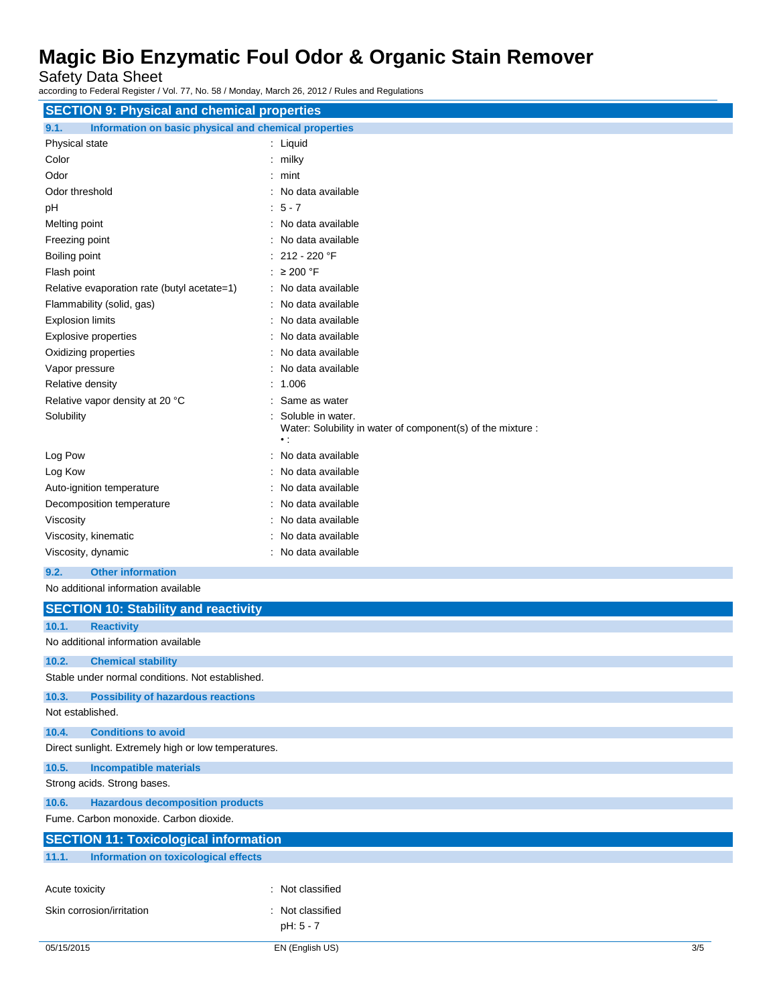Safety Data Sheet

according to Federal Register / Vol. 77, No. 58 / Monday, March 26, 2012 / Rules and Regulations

| <b>SECTION 9: Physical and chemical properties</b>            |                                                                                                 |  |  |
|---------------------------------------------------------------|-------------------------------------------------------------------------------------------------|--|--|
| 9.1.<br>Information on basic physical and chemical properties |                                                                                                 |  |  |
| Physical state                                                | : Liquid                                                                                        |  |  |
| Color                                                         | $:$ milky                                                                                       |  |  |
| Odor                                                          | $:$ mint                                                                                        |  |  |
| Odor threshold                                                | No data available                                                                               |  |  |
| рH                                                            | $5 - 7$                                                                                         |  |  |
| Melting point                                                 | : No data available                                                                             |  |  |
| Freezing point                                                | No data available                                                                               |  |  |
| Boiling point                                                 | 212 - 220 °F                                                                                    |  |  |
| Flash point                                                   | $: \geq 200$ °F                                                                                 |  |  |
| Relative evaporation rate (butyl acetate=1)                   | : No data available                                                                             |  |  |
| Flammability (solid, gas)                                     | : No data available                                                                             |  |  |
| <b>Explosion limits</b>                                       | : No data available                                                                             |  |  |
| <b>Explosive properties</b>                                   | No data available                                                                               |  |  |
| Oxidizing properties                                          | No data available                                                                               |  |  |
| Vapor pressure                                                | No data available                                                                               |  |  |
| Relative density                                              | 1.006                                                                                           |  |  |
| Relative vapor density at 20 °C                               | Same as water                                                                                   |  |  |
| Solubility                                                    | Soluble in water.<br>Water: Solubility in water of component(s) of the mixture :<br>$\bullet$ : |  |  |
| Log Pow                                                       | No data available                                                                               |  |  |
| Log Kow                                                       | : No data available                                                                             |  |  |
| Auto-ignition temperature                                     | No data available                                                                               |  |  |
| Decomposition temperature                                     | No data available                                                                               |  |  |
| Viscosity                                                     | No data available                                                                               |  |  |
| Viscosity, kinematic                                          | No data available                                                                               |  |  |
| Viscosity, dynamic                                            | : No data available                                                                             |  |  |
| <b>Other information</b><br>9.2.                              |                                                                                                 |  |  |
| No additional information available                           |                                                                                                 |  |  |
|                                                               |                                                                                                 |  |  |
| <b>SECTION 10: Stability and reactivity</b>                   |                                                                                                 |  |  |
| 10.1.<br><b>Reactivity</b>                                    |                                                                                                 |  |  |
| No additional information available                           |                                                                                                 |  |  |
| 10.2.<br><b>Chemical stability</b>                            |                                                                                                 |  |  |
| Stable under normal conditions. Not established.              |                                                                                                 |  |  |
| <b>Possibility of hazardous reactions</b><br>10.3.            |                                                                                                 |  |  |
| Not established.                                              |                                                                                                 |  |  |
| <b>Conditions to avoid</b><br>10.4.                           |                                                                                                 |  |  |
| Direct sunlight. Extremely high or low temperatures.          |                                                                                                 |  |  |
| 10.5.<br><b>Incompatible materials</b>                        |                                                                                                 |  |  |
| Strong acids. Strong bases.                                   |                                                                                                 |  |  |
|                                                               |                                                                                                 |  |  |
| <b>Hazardous decomposition products</b><br>10.6.              |                                                                                                 |  |  |
| Fume. Carbon monoxide. Carbon dioxide.                        |                                                                                                 |  |  |
| <b>SECTION 11: Toxicological information</b>                  |                                                                                                 |  |  |
| <b>Information on toxicological effects</b><br>11.1.          |                                                                                                 |  |  |

Acute toxicity **in the case of the contract of the contract of the contract of the contract of the contract of the contract of the contract of the contract of the contract of the contract of the contract of the contract of** Skin corrosion/irritation : Not classified pH: 5 - 7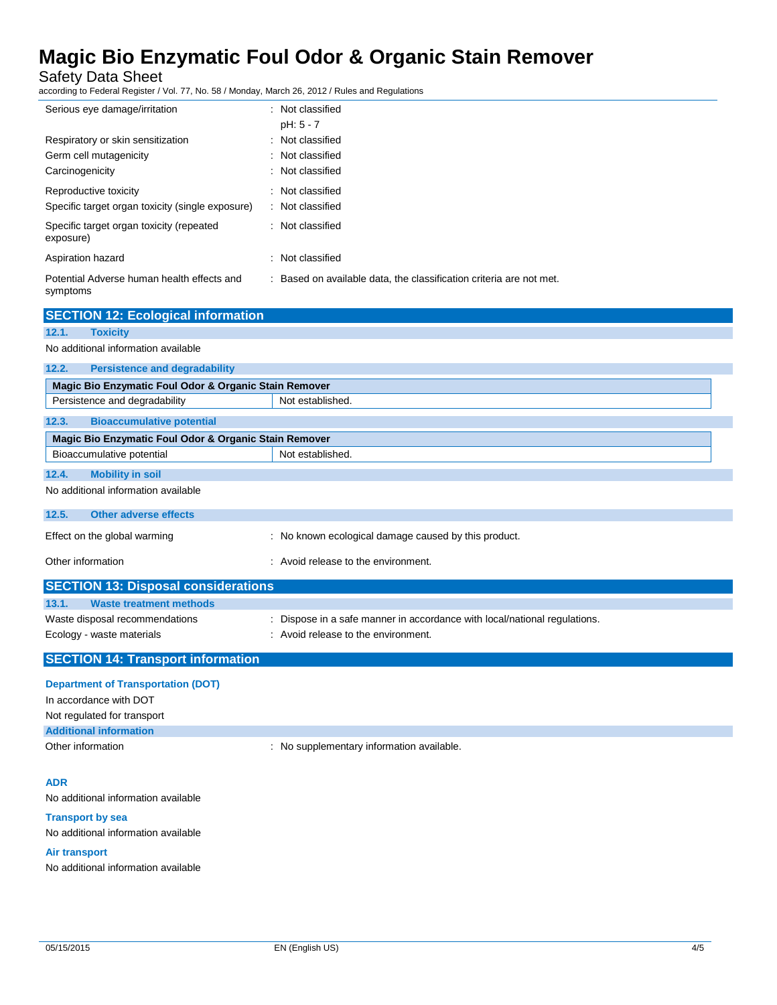Safety Data Sheet

according to Federal Register / Vol. 77, No. 58 / Monday, March 26, 2012 / Rules and Regulations

| Serious eye damage/irritation                          | : Not classified                                                    |
|--------------------------------------------------------|---------------------------------------------------------------------|
|                                                        | $pH: 5 - 7$                                                         |
| Respiratory or skin sensitization                      | : Not classified                                                    |
| Germ cell mutagenicity                                 | : Not classified                                                    |
| Carcinogenicity                                        | : Not classified                                                    |
| Reproductive toxicity                                  | : Not classified                                                    |
| Specific target organ toxicity (single exposure)       | : Not classified                                                    |
| Specific target organ toxicity (repeated<br>exposure)  | : Not classified                                                    |
| Aspiration hazard                                      | : Not classified                                                    |
| Potential Adverse human health effects and<br>symptoms | : Based on available data, the classification criteria are not met. |

| <b>SECTION 12: Ecological information</b>             |                                                                         |  |
|-------------------------------------------------------|-------------------------------------------------------------------------|--|
| <b>Toxicity</b><br>12.1.                              |                                                                         |  |
| No additional information available                   |                                                                         |  |
| <b>Persistence and degradability</b><br>12.2.         |                                                                         |  |
|                                                       | Magic Bio Enzymatic Foul Odor & Organic Stain Remover                   |  |
| Persistence and degradability                         | Not established.                                                        |  |
| <b>Bioaccumulative potential</b><br>12.3.             |                                                                         |  |
| Magic Bio Enzymatic Foul Odor & Organic Stain Remover |                                                                         |  |
| Bioaccumulative potential                             | Not established.                                                        |  |
| 12.4.<br><b>Mobility in soil</b>                      |                                                                         |  |
| No additional information available                   |                                                                         |  |
| 12.5.<br>Other adverse effects                        |                                                                         |  |
|                                                       |                                                                         |  |
| Effect on the global warming                          | : No known ecological damage caused by this product.                    |  |
| Other information                                     | : Avoid release to the environment.                                     |  |
| <b>SECTION 13: Disposal considerations</b>            |                                                                         |  |
| 13.1.<br><b>Waste treatment methods</b>               |                                                                         |  |
| Waste disposal recommendations                        | Dispose in a safe manner in accordance with local/national regulations. |  |

Ecology - waste materials **Example 20** in Avoid release to the environment.

### **SECTION 14: Transport information**

### **Department of Transportation (DOT)**

In accordance with DOT

Not regulated for transport

**Additional information**

Other information **COLOGY CONTERNATION** : No supplementary information available.

#### **ADR**

No additional information available

#### **Transport by sea**

No additional information available

#### **Air transport**

No additional information available